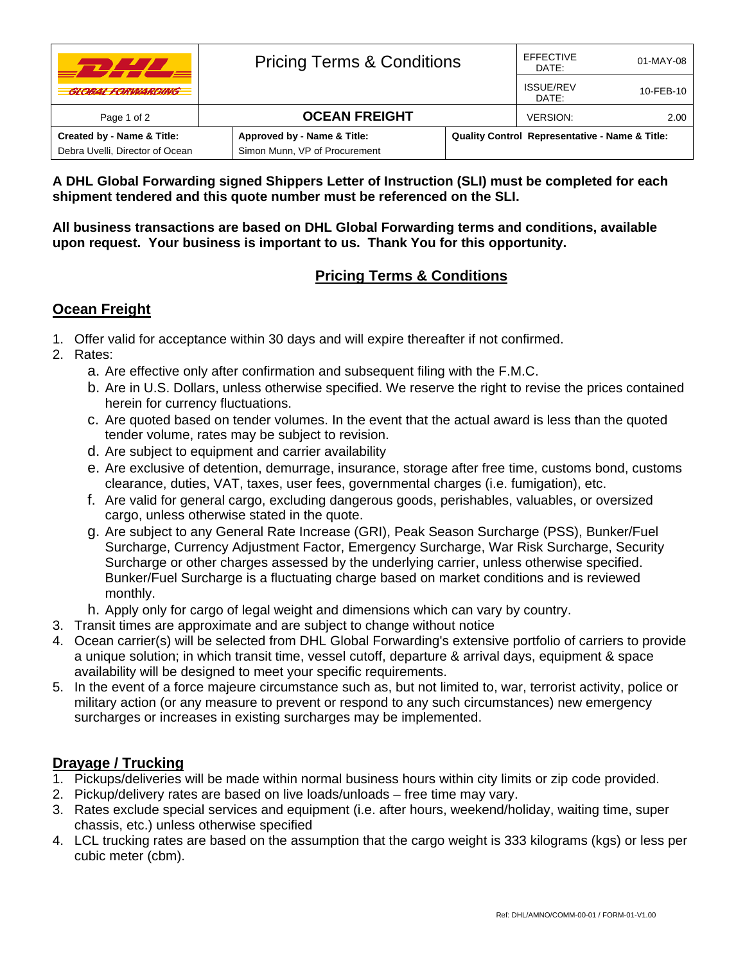| , , , , ,                       | <b>Pricing Terms &amp; Conditions</b> |                                                           | <b>EFFECTIVE</b><br>DATE: | 01-MAY-08 |
|---------------------------------|---------------------------------------|-----------------------------------------------------------|---------------------------|-----------|
| <b>GLOBAL FORWARDING</b>        |                                       |                                                           | <b>ISSUE/REV</b><br>DATE: | 10-FEB-10 |
| Page 1 of 2                     | <b>OCEAN FREIGHT</b>                  |                                                           | <b>VERSION:</b>           | 2.00      |
| Created by - Name & Title:      | Approved by - Name & Title:           | <b>Quality Control Representative - Name &amp; Title:</b> |                           |           |
| Debra Uvelli, Director of Ocean | Simon Munn, VP of Procurement         |                                                           |                           |           |

**A DHL Global Forwarding signed Shippers Letter of Instruction (SLI) must be completed for each shipment tendered and this quote number must be referenced on the SLI.** 

**All business transactions are based on DHL Global Forwarding terms and conditions, available upon request. Your business is important to us. Thank You for this opportunity.** 

## **Pricing Terms & Conditions**

## **Ocean Freight**

- 1. Offer valid for acceptance within 30 days and will expire thereafter if not confirmed.
- 2. Rates:
	- a. Are effective only after confirmation and subsequent filing with the F.M.C.
	- b. Are in U.S. Dollars, unless otherwise specified. We reserve the right to revise the prices contained herein for currency fluctuations.
	- c. Are quoted based on tender volumes. In the event that the actual award is less than the quoted tender volume, rates may be subject to revision.
	- d. Are subject to equipment and carrier availability
	- e. Are exclusive of detention, demurrage, insurance, storage after free time, customs bond, customs clearance, duties, VAT, taxes, user fees, governmental charges (i.e. fumigation), etc.
	- f. Are valid for general cargo, excluding dangerous goods, perishables, valuables, or oversized cargo, unless otherwise stated in the quote.
	- g. Are subject to any General Rate Increase (GRI), Peak Season Surcharge (PSS), Bunker/Fuel Surcharge, Currency Adjustment Factor, Emergency Surcharge, War Risk Surcharge, Security Surcharge or other charges assessed by the underlying carrier, unless otherwise specified. Bunker/Fuel Surcharge is a fluctuating charge based on market conditions and is reviewed monthly.
	- h. Apply only for cargo of legal weight and dimensions which can vary by country.
- 3. Transit times are approximate and are subject to change without notice
- 4. Ocean carrier(s) will be selected from DHL Global Forwarding's extensive portfolio of carriers to provide a unique solution; in which transit time, vessel cutoff, departure & arrival days, equipment & space availability will be designed to meet your specific requirements.
- 5. In the event of a force majeure circumstance such as, but not limited to, war, terrorist activity, police or military action (or any measure to prevent or respond to any such circumstances) new emergency surcharges or increases in existing surcharges may be implemented.

## **Drayage / Trucking**

- 1. Pickups/deliveries will be made within normal business hours within city limits or zip code provided.
- 2. Pickup/delivery rates are based on live loads/unloads free time may vary.
- 3. Rates exclude special services and equipment (i.e. after hours, weekend/holiday, waiting time, super chassis, etc.) unless otherwise specified
- 4. LCL trucking rates are based on the assumption that the cargo weight is 333 kilograms (kgs) or less per cubic meter (cbm).